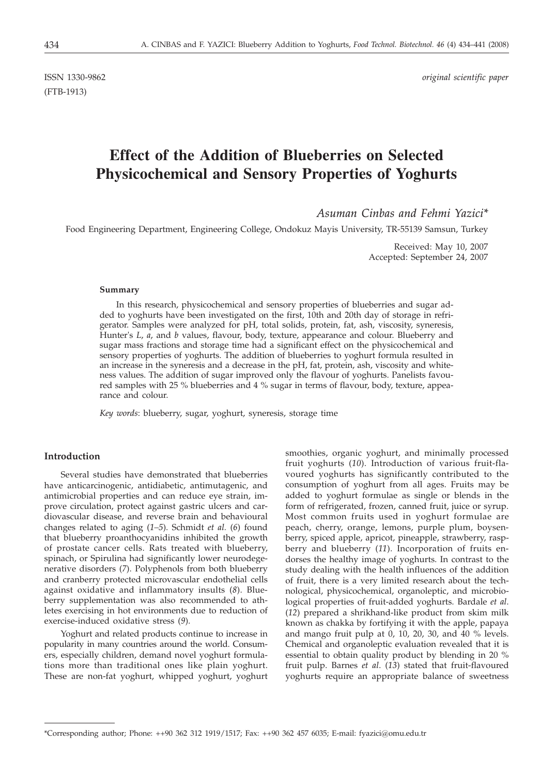(FTB-1913)

ISSN 1330-9862 *original scientific paper*

# **Effect of the Addition of Blueberries on Selected Physicochemical and Sensory Properties of Yoghurts**

*Asuman Cinbas and Fehmi Yazici\**

Food Engineering Department, Engineering College, Ondokuz Mayis University, TR-55139 Samsun, Turkey

Received: May 10, 2007 Accepted: September 24, 2007

#### **Summary**

In this research, physicochemical and sensory properties of blueberries and sugar added to yoghurts have been investigated on the first, 10th and 20th day of storage in refrigerator. Samples were analyzed for pH, total solids, protein, fat, ash, viscosity, syneresis, Hunter's *L*, *a*, and *b* values, flavour, body, texture, appearance and colour. Blueberry and sugar mass fractions and storage time had a significant effect on the physicochemical and sensory properties of yoghurts. The addition of blueberries to yoghurt formula resulted in an increase in the syneresis and a decrease in the pH, fat, protein, ash, viscosity and whiteness values. The addition of sugar improved only the flavour of yoghurts. Panelists favoured samples with 25 % blueberries and 4 % sugar in terms of flavour, body, texture, appearance and colour.

*Key words*: blueberry, sugar, yoghurt, syneresis, storage time

# **Introduction**

Several studies have demonstrated that blueberries have anticarcinogenic, antidiabetic, antimutagenic, and antimicrobial properties and can reduce eye strain, improve circulation, protect against gastric ulcers and cardiovascular disease, and reverse brain and behavioural changes related to aging (*1–5*). Schmidt *et al.* (*6*) found that blueberry proanthocyanidins inhibited the growth of prostate cancer cells. Rats treated with blueberry, spinach, or Spirulina had significantly lower neurodegenerative disorders (*7*). Polyphenols from both blueberry and cranberry protected microvascular endothelial cells against oxidative and inflammatory insults (*8*). Blueberry supplementation was also recommended to athletes exercising in hot environments due to reduction of exercise-induced oxidative stress (*9*).

Yoghurt and related products continue to increase in popularity in many countries around the world. Consumers, especially children, demand novel yoghurt formulations more than traditional ones like plain yoghurt. These are non-fat yoghurt, whipped yoghurt, yoghurt smoothies, organic yoghurt, and minimally processed fruit yoghurts (*10*). Introduction of various fruit-flavoured yoghurts has significantly contributed to the consumption of yoghurt from all ages. Fruits may be added to yoghurt formulae as single or blends in the form of refrigerated, frozen, canned fruit, juice or syrup. Most common fruits used in yoghurt formulae are peach, cherry, orange, lemons, purple plum, boysenberry, spiced apple, apricot, pineapple, strawberry, raspberry and blueberry (*11*). Incorporation of fruits endorses the healthy image of yoghurts. In contrast to the study dealing with the health influences of the addition of fruit, there is a very limited research about the technological, physicochemical, organoleptic, and microbiological properties of fruit-added yoghurts. Bardale *et al*. (*12*) prepared a shrikhand-like product from skim milk known as chakka by fortifying it with the apple, papaya and mango fruit pulp at 0, 10, 20, 30, and 40 % levels. Chemical and organoleptic evaluation revealed that it is essential to obtain quality product by blending in 20 % fruit pulp. Barnes *et al*. (*13*) stated that fruit-flavoured yoghurts require an appropriate balance of sweetness

<sup>\*</sup>Corresponding author; Phone: ++90 362 312 1919/1517; Fax: ++90 362 457 6035; E-mail: fyazici@omu.edu.tr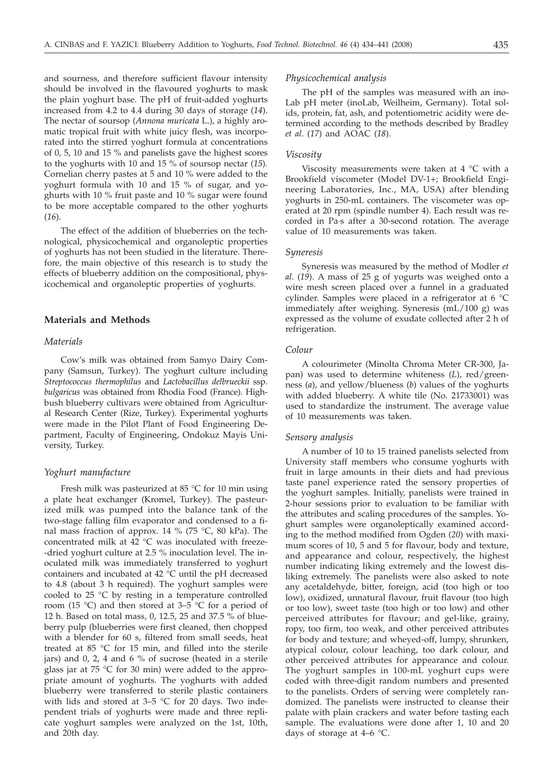and sourness, and therefore sufficient flavour intensity should be involved in the flavoured yoghurts to mask the plain yoghurt base. The pH of fruit-added yoghurts increased from 4.2 to 4.4 during 30 days of storage (*14*). The nectar of soursop (*Annona muricata* L.), a highly aromatic tropical fruit with white juicy flesh, was incorporated into the stirred yoghurt formula at concentrations of 0, 5, 10 and 15 % and panelists gave the highest scores to the yoghurts with 10 and 15 % of soursop nectar (*15*). Cornelian cherry pastes at 5 and 10 % were added to the yoghurt formula with 10 and 15 % of sugar, and yoghurts with 10 % fruit paste and 10 % sugar were found to be more acceptable compared to the other yoghurts (*16*).

The effect of the addition of blueberries on the technological, physicochemical and organoleptic properties of yoghurts has not been studied in the literature. Therefore, the main objective of this research is to study the effects of blueberry addition on the compositional, physicochemical and organoleptic properties of yoghurts.

## **Materials and Methods**

# *Materials*

Cow's milk was obtained from Samyo Dairy Company (Samsun, Turkey). The yoghurt culture including *Streptococcus thermophilus* and *Lactobacillus delbrueckii* ssp*. bulgaricus* was obtained from Rhodia Food (France). Highbush blueberry cultivars were obtained from Agricultural Research Center (Rize, Turkey). Experimental yoghurts were made in the Pilot Plant of Food Engineering Department, Faculty of Engineering, Ondokuz Mayis University, Turkey.

## *Yoghurt manufacture*

Fresh milk was pasteurized at 85 °C for 10 min using a plate heat exchanger (Kromel, Turkey). The pasteurized milk was pumped into the balance tank of the two-stage falling film evaporator and condensed to a final mass fraction of approx. 14 % (75 °C, 80 kPa). The concentrated milk at 42 °C was inoculated with freeze- -dried yoghurt culture at 2.5 % inoculation level. The inoculated milk was immediately transferred to yoghurt containers and incubated at 42 °C until the pH decreased to 4.8 (about 3 h required). The yoghurt samples were cooled to 25 °C by resting in a temperature controlled room (15 °C) and then stored at 3–5 °C for a period of 12 h. Based on total mass, 0, 12.5, 25 and 37.5 % of blueberry pulp (blueberries were first cleaned, then chopped with a blender for 60 s, filtered from small seeds, heat treated at 85 °C for 15 min, and filled into the sterile jars) and 0, 2, 4 and 6 % of sucrose (heated in a sterile glass jar at 75 °C for 30 min) were added to the appropriate amount of yoghurts. The yoghurts with added blueberry were transferred to sterile plastic containers with lids and stored at  $3-5$  °C for 20 days. Two independent trials of yoghurts were made and three replicate yoghurt samples were analyzed on the 1st, 10th, and 20th day.

### *Physicochemical analysis*

The pH of the samples was measured with an ino-Lab pH meter (inoLab, Weilheim, Germany). Total solids, protein, fat, ash, and potentiometric acidity were determined according to the methods described by Bradley *et al*. (*17*) and AOAC (*18*).

## *Viscosity*

Viscosity measurements were taken at  $4^{\circ}$ C with a Brookfield viscometer (Model DV-1+; Brookfield Engineering Laboratories, Inc., MA, USA) after blending yoghurts in 250-mL containers. The viscometer was operated at 20 rpm (spindle number 4). Each result was recorded in Pa·s after a 30-second rotation. The average value of 10 measurements was taken.

### *Syneresis*

Syneresis was measured by the method of Modler *et al*. (*19*). A mass of 25 g of yogurts was weighed onto a wire mesh screen placed over a funnel in a graduated cylinder. Samples were placed in a refrigerator at 6 °C immediately after weighing. Syneresis (mL/100 g) was expressed as the volume of exudate collected after 2 h of refrigeration.

#### *Colour*

A colourimeter (Minolta Chroma Meter CR-300, Japan) was used to determine whiteness (*L*), red/greenness (*a*), and yellow/blueness (*b*) values of the yoghurts with added blueberry. A white tile (No. 21733001) was used to standardize the instrument. The average value of 10 measurements was taken.

## *Sensory analysis*

A number of 10 to 15 trained panelists selected from University staff members who consume yoghurts with fruit in large amounts in their diets and had previous taste panel experience rated the sensory properties of the yoghurt samples. Initially, panelists were trained in 2-hour sessions prior to evaluation to be familiar with the attributes and scaling procedures of the samples. Yoghurt samples were organoleptically examined according to the method modified from Ogden (*20*) with maximum scores of 10, 5 and 5 for flavour, body and texture, and appearance and colour, respectively, the highest number indicating liking extremely and the lowest disliking extremely. The panelists were also asked to note any acetaldehyde, bitter, foreign, acid (too high or too low), oxidized, unnatural flavour, fruit flavour (too high or too low), sweet taste (too high or too low) and other perceived attributes for flavour; and gel-like, grainy, ropy, too firm, too weak, and other perceived attributes for body and texture; and wheyed-off, lumpy, shrunken, atypical colour, colour leaching, too dark colour, and other perceived attributes for appearance and colour. The yoghurt samples in 100-mL yoghurt cups were coded with three-digit random numbers and presented to the panelists. Orders of serving were completely randomized. The panelists were instructed to cleanse their palate with plain crackers and water before tasting each sample. The evaluations were done after 1, 10 and 20 days of storage at 4–6 °C.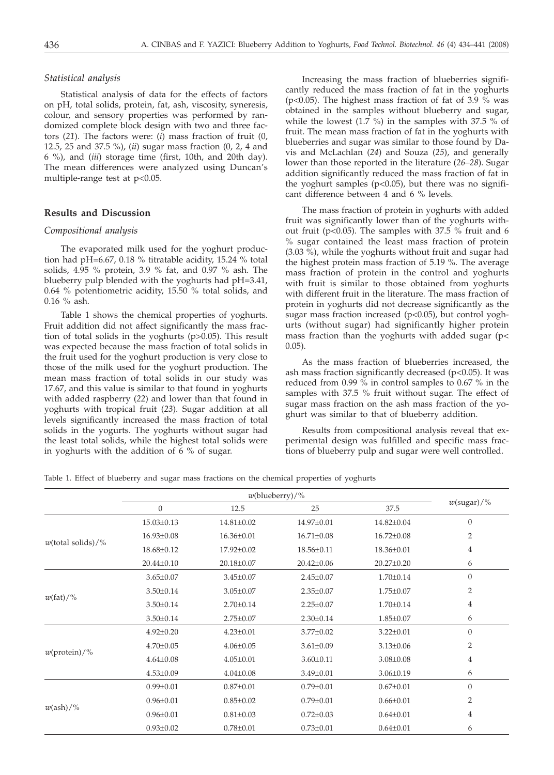# *Statistical analysis*

Statistical analysis of data for the effects of factors on pH, total solids, protein, fat, ash, viscosity, syneresis, colour, and sensory properties was performed by randomized complete block design with two and three factors (*21*). The factors were: (*i*) mass fraction of fruit (0, 12.5, 25 and 37.5 %), (*ii*) sugar mass fraction (0, 2, 4 and 6 %), and (*iii*) storage time (first, 10th, and 20th day). The mean differences were analyzed using Duncan's multiple-range test at p<0.05.

# **Results and Discussion**

#### *Compositional analysis*

The evaporated milk used for the yoghurt production had pH=6.67, 0.18 % titratable acidity, 15.24 % total solids, 4.95 % protein, 3.9 % fat, and 0.97 % ash. The blueberry pulp blended with the yoghurts had pH=3.41, 0.64 % potentiometric acidity, 15.50 % total solids, and 0.16 % ash.

Table 1 shows the chemical properties of yoghurts. Fruit addition did not affect significantly the mass fraction of total solids in the yoghurts (p>0.05). This result was expected because the mass fraction of total solids in the fruit used for the yoghurt production is very close to those of the milk used for the yoghurt production. The mean mass fraction of total solids in our study was 17.67, and this value is similar to that found in yoghurts with added raspberry (*22*) and lower than that found in yoghurts with tropical fruit (*23*). Sugar addition at all levels significantly increased the mass fraction of total solids in the yogurts. The yoghurts without sugar had the least total solids, while the highest total solids were in yoghurts with the addition of 6 % of sugar.

Increasing the mass fraction of blueberries significantly reduced the mass fraction of fat in the yoghurts ( $p<0.05$ ). The highest mass fraction of fat of 3.9 % was obtained in the samples without blueberry and sugar, while the lowest (1.7 %) in the samples with 37.5 % of fruit. The mean mass fraction of fat in the yoghurts with blueberries and sugar was similar to those found by Davis and McLachlan (*24*) and Souza (*25*), and generally lower than those reported in the literature (*26–28*). Sugar addition significantly reduced the mass fraction of fat in the yoghurt samples  $(p<0.05)$ , but there was no significant difference between 4 and 6 % levels.

The mass fraction of protein in yoghurts with added fruit was significantly lower than of the yoghurts without fruit (p<0.05). The samples with 37.5 % fruit and 6 % sugar contained the least mass fraction of protein (3.03 %), while the yoghurts without fruit and sugar had the highest protein mass fraction of 5.19 %. The average mass fraction of protein in the control and yoghurts with fruit is similar to those obtained from yoghurts with different fruit in the literature. The mass fraction of protein in yoghurts did not decrease significantly as the sugar mass fraction increased (p<0.05), but control yoghurts (without sugar) had significantly higher protein mass fraction than the yoghurts with added sugar (p< 0.05).

As the mass fraction of blueberries increased, the ash mass fraction significantly decreased (p<0.05). It was reduced from 0.99 % in control samples to 0.67 % in the samples with 37.5 % fruit without sugar. The effect of sugar mass fraction on the ash mass fraction of the yoghurt was similar to that of blueberry addition.

Results from compositional analysis reveal that experimental design was fulfilled and specific mass fractions of blueberry pulp and sugar were well controlled.

Table 1. Effect of blueberry and sugar mass fractions on the chemical properties of yoghurts

|                        | $w$ (blueberry)/% |                  |                  |                  |                |
|------------------------|-------------------|------------------|------------------|------------------|----------------|
|                        | $\boldsymbol{0}$  | 12.5             | 25               | 37.5             | $w$ (sugar)/%  |
|                        | $15.03 \pm 0.13$  | $14.81 \pm 0.02$ | 14.97±0.01       | 14.82±0.04       | $\overline{0}$ |
| $w$ (total solids)/%   | $16.93 \pm 0.08$  | 16.36±0.01       | $16.71 \pm 0.08$ | $16.72 \pm 0.08$ | $\overline{2}$ |
|                        | 18.68±0.12        | 17.92±0.02       | $18.56 \pm 0.11$ | 18.36±0.01       | $\overline{4}$ |
|                        | 20.44±0.10        | 20.18±0.07       | $20.42 \pm 0.06$ | $20.27 \pm 0.20$ | 6              |
|                        | $3.65 \pm 0.07$   | $3.45 \pm 0.07$  | $2.45 \pm 0.07$  | $1.70 \pm 0.14$  | $\overline{0}$ |
|                        | $3.50 \pm 0.14$   | $3.05 \pm 0.07$  | $2.35 \pm 0.07$  | $1.75 \pm 0.07$  | $\overline{2}$ |
| $w(\text{fat})/$ %     | $3.50 \pm 0.14$   | $2.70 \pm 0.14$  | $2.25 \pm 0.07$  | $1.70 \pm 0.14$  | 4              |
|                        | $3.50 \pm 0.14$   | $2.75 \pm 0.07$  | $2.30 \pm 0.14$  | $1.85 \pm 0.07$  | 6              |
|                        | $4.92 \pm 0.20$   | $4.23 \pm 0.01$  | $3.77 \pm 0.02$  | $3.22 \pm 0.01$  | $\overline{0}$ |
| $w(\text{protein})/\%$ | $4.70 \pm 0.05$   | $4.06 \pm 0.05$  | $3.61 \pm 0.09$  | $3.13 \pm 0.06$  | $\overline{2}$ |
|                        | $4.64 \pm 0.08$   | $4.05 \pm 0.01$  | $3.60 \pm 0.11$  | $3.08 \pm 0.08$  | $\overline{4}$ |
|                        | $4.53 \pm 0.09$   | $4.04 \pm 0.08$  | $3.49 \pm 0.01$  | $3.06 \pm 0.19$  | 6              |
|                        | $0.99 \pm 0.01$   | $0.87 \pm 0.01$  | $0.79 \pm 0.01$  | $0.67 \pm 0.01$  | $\overline{0}$ |
| $w(\text{ash})/\%$     | $0.96 \pm 0.01$   | $0.85 \pm 0.02$  | $0.79 \pm 0.01$  | $0.66 \pm 0.01$  | $\overline{2}$ |
|                        | $0.96 \pm 0.01$   | $0.81 \pm 0.03$  | $0.72 \pm 0.03$  | $0.64 \pm 0.01$  | $\overline{4}$ |
|                        | $0.93 \pm 0.02$   | $0.78 \pm 0.01$  | $0.73 \pm 0.01$  | $0.64 \pm 0.01$  | 6              |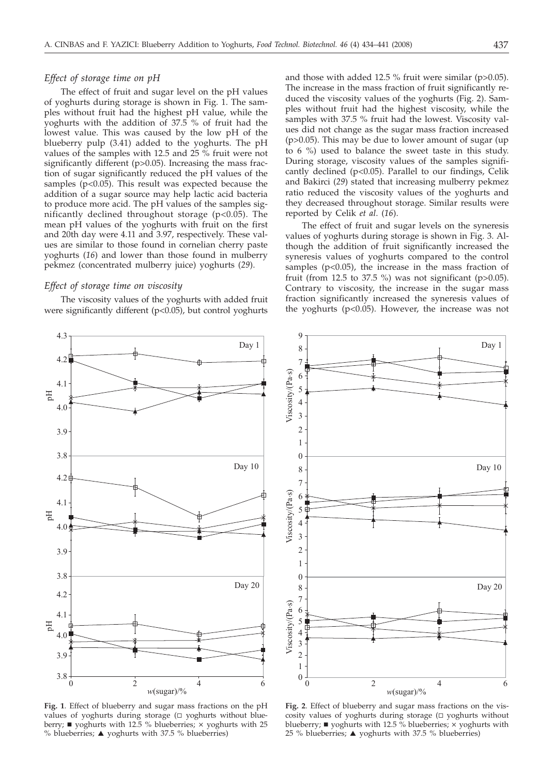# *Effect of storage time on pH*

The effect of fruit and sugar level on the pH values of yoghurts during storage is shown in Fig. 1. The samples without fruit had the highest pH value, while the yoghurts with the addition of 37.5 % of fruit had the lowest value. This was caused by the low pH of the blueberry pulp (3.41) added to the yoghurts. The pH values of the samples with 12.5 and 25 % fruit were not significantly different (p>0.05). Increasing the mass fraction of sugar significantly reduced the pH values of the samples ( $p$ <0.05). This result was expected because the addition of a sugar source may help lactic acid bacteria to produce more acid. The pH values of the samples significantly declined throughout storage (p<0.05). The mean pH values of the yoghurts with fruit on the first and 20th day were 4.11 and 3.97, respectively. These values are similar to those found in cornelian cherry paste yoghurts (*16*) and lower than those found in mulberry pekmez (concentrated mulberry juice) yoghurts (*29*).

## *Effect of storage time on viscosity*

4.3

The viscosity values of the yoghurts with added fruit were significantly different (p<0.05), but control yoghurts

and those with added 12.5 % fruit were similar (p>0.05). The increase in the mass fraction of fruit significantly reduced the viscosity values of the yoghurts (Fig. 2). Samples without fruit had the highest viscosity, while the samples with 37.5 % fruit had the lowest. Viscosity values did not change as the sugar mass fraction increased (p>0.05). This may be due to lower amount of sugar (up to 6 %) used to balance the sweet taste in this study. During storage, viscosity values of the samples significantly declined (p<0.05). Parallel to our findings, Celik and Bakirci (*29*) stated that increasing mulberry pekmez ratio reduced the viscosity values of the yoghurts and they decreased throughout storage. Similar results were reported by Celik *et al*. (*16*).

The effect of fruit and sugar levels on the syneresis values of yoghurts during storage is shown in Fig. 3. Although the addition of fruit significantly increased the syneresis values of yoghurts compared to the control samples ( $p$ <0.05), the increase in the mass fraction of fruit (from 12.5 to 37.5 %) was not significant ( $p > 0.05$ ). Contrary to viscosity, the increase in the sugar mass fraction significantly increased the syneresis values of the yoghurts (p<0.05). However, the increase was not



values of yoghurts during storage  $(\Box$  yoghurts without blueberry; ■ yoghurts with 12.5 % blueberries; × yoghurts with 25 % blueberries;  $\triangle$  yoghurts with 37.5 % blueberries)



**Fig. 2**. Effect of blueberry and sugar mass fractions on the viscosity values of yoghurts during storage  $( \Box$  yoghurts without blueberry;  $\blacksquare$  yoghurts with 12.5 % blueberries;  $\times$  yoghurts with 25 % blueberries; ▲ yoghurts with 37.5 % blueberries)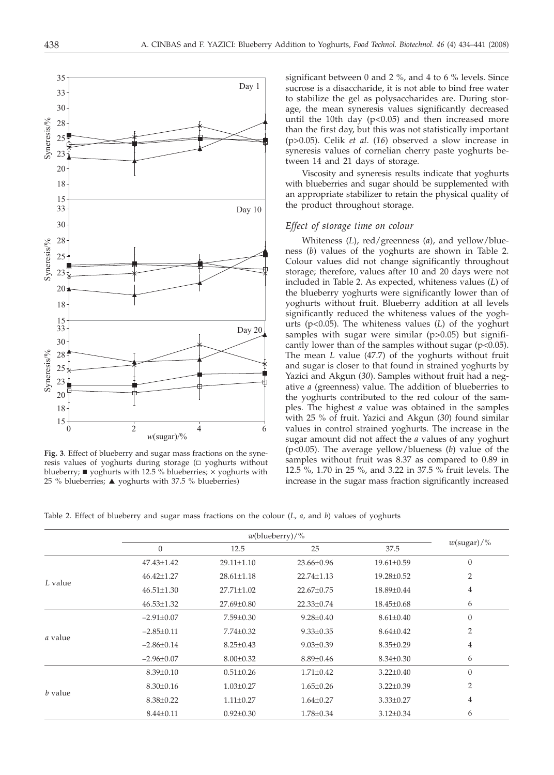to stabilize the gel as polysaccharides are. During storage, the mean syneresis values significantly decreased until the 10th day  $(p<0.05)$  and then increased more than the first day, but this was not statistically important (p>0.05). Celik *et al*. (*16*) observed a slow increase in syneresis values of cornelian cherry paste yoghurts between 14 and 21 days of storage.

significant between 0 and 2  $\%$ , and 4 to 6  $\%$  levels. Since sucrose is a disaccharide, it is not able to bind free water

Viscosity and syneresis results indicate that yoghurts with blueberries and sugar should be supplemented with an appropriate stabilizer to retain the physical quality of the product throughout storage.

## *Effect of storage time on colour*

Whiteness (*L*), red/greenness (*a*), and yellow/blueness (*b*) values of the yoghurts are shown in Table 2. Colour values did not change significantly throughout storage; therefore, values after 10 and 20 days were not included in Table 2. As expected, whiteness values (*L*) of the blueberry yoghurts were significantly lower than of yoghurts without fruit. Blueberry addition at all levels significantly reduced the whiteness values of the yoghurts (p<0.05). The whiteness values (*L*) of the yoghurt samples with sugar were similar (p>0.05) but significantly lower than of the samples without sugar (p<0.05). The mean *L* value (47.7) of the yoghurts without fruit and sugar is closer to that found in strained yoghurts by Yazici and Akgun (*30*). Samples without fruit had a negative *a* (greenness) value. The addition of blueberries to the yoghurts contributed to the red colour of the samples. The highest *a* value was obtained in the samples with 25 % of fruit. Yazici and Akgun (*30*) found similar values in control strained yoghurts. The increase in the sugar amount did not affect the *a* values of any yoghurt (p<0.05). The average yellow/blueness (*b*) value of the samples without fruit was 8.37 as compared to 0.89 in 12.5 %, 1.70 in 25 %, and 3.22 in 37.5 % fruit levels. The increase in the sugar mass fraction significantly increased



|                | $w$ (blueberry)/% |                  |                  |                  |                  |
|----------------|-------------------|------------------|------------------|------------------|------------------|
|                | $\boldsymbol{0}$  | 12.5             | 25               | 37.5             | $w$ (sugar)/%    |
|                | 47.43±1.42        | 29.11±1.10       | 23.66±0.96       | $19.61 \pm 0.59$ | $\overline{0}$   |
| L value        | $46.42 \pm 1.27$  | $28.61 \pm 1.18$ | $22.74 \pm 1.13$ | 19.28±0.52       | $\overline{2}$   |
|                | $46.51 \pm 1.30$  | 27.71±1.02       | 22.67±0.75       | 18.89±0.44       | 4                |
|                | $46.53 \pm 1.32$  | 27.69±0.80       | 22.33±0.74       | $18.45 \pm 0.68$ | 6                |
|                | $-2.91 \pm 0.07$  | $7.59 \pm 0.30$  | $9.28 \pm 0.40$  | $8.61 \pm 0.40$  | $\boldsymbol{0}$ |
| <i>a</i> value | $-2.85\pm0.11$    | $7.74 \pm 0.32$  | $9.33 \pm 0.35$  | $8.64 \pm 0.42$  | $\overline{2}$   |
|                | $-2.86\pm0.14$    | $8.25 \pm 0.43$  | $9.03 \pm 0.39$  | $8.35 \pm 0.29$  | $\overline{4}$   |
|                | $-2.96 \pm 0.07$  | $8.00 \pm 0.32$  | $8.89 \pm 0.46$  | $8.34 \pm 0.30$  | 6                |
|                | $8.39 \pm 0.10$   | $0.51 \pm 0.26$  | $1.71 \pm 0.42$  | $3.22 \pm 0.40$  | $\overline{0}$   |
| <i>b</i> value | $8.30 \pm 0.16$   | $1.03 \pm 0.27$  | $1.65 \pm 0.26$  | $3.22 \pm 0.39$  | $\overline{2}$   |
|                | $8.38 \pm 0.22$   | $1.11 \pm 0.27$  | $1.64 \pm 0.27$  | $3.33 \pm 0.27$  | $\overline{4}$   |
|                | $8.44 \pm 0.11$   | $0.92 \pm 0.30$  | $1.78 \pm 0.34$  | $3.12 \pm 0.34$  | 6                |



resis values of yoghurts during storage  $( \Box$  yoghurts without blueberry;  $\blacksquare$  yoghurts with 12.5 % blueberries;  $\times$  yoghurts with 25 % blueberries; ▲ yoghurts with 37.5 % blueberries)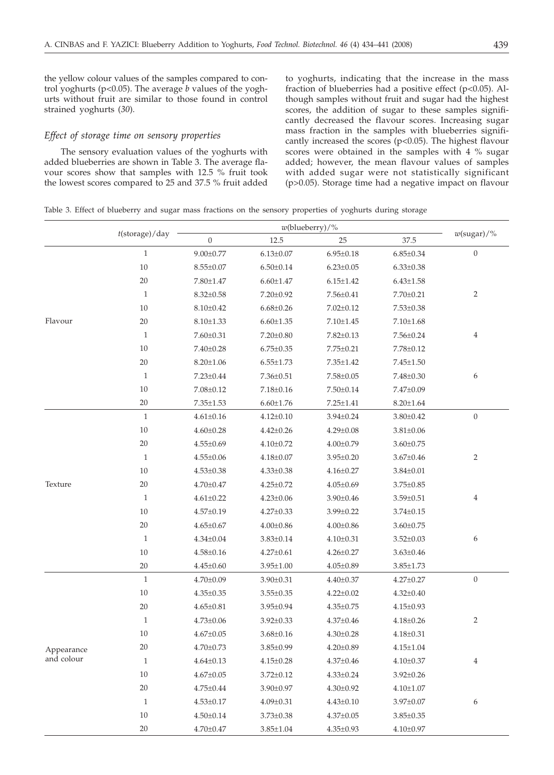the yellow colour values of the samples compared to control yoghurts (p<0.05). The average *b* values of the yoghurts without fruit are similar to those found in control strained yoghurts (*30*).

## *Effect of storage time on sensory properties*

The sensory evaluation values of the yoghurts with added blueberries are shown in Table 3. The average flavour scores show that samples with 12.5 % fruit took the lowest scores compared to 25 and 37.5 % fruit added to yoghurts, indicating that the increase in the mass fraction of blueberries had a positive effect (p<0.05). Although samples without fruit and sugar had the highest scores, the addition of sugar to these samples significantly decreased the flavour scores. Increasing sugar mass fraction in the samples with blueberries significantly increased the scores (p<0.05). The highest flavour scores were obtained in the samples with 4 % sugar added; however, the mean flavour values of samples with added sugar were not statistically significant (p>0.05). Storage time had a negative impact on flavour

Table 3. Effect of blueberry and sugar mass fractions on the sensory properties of yoghurts during storage

| $t$ (storage)/day<br>$w$ (sugar)/%<br>$\overline{0}$<br>12.5<br>37.5<br>25<br>$\boldsymbol{0}$<br>$\mathbf{1}$<br>$9.00 \pm 0.77$<br>$6.13 \pm 0.07$<br>$6.95 \pm 0.18$<br>$6.85 \pm 0.34$<br>10<br>$8.55 \pm 0.07$<br>$6.50{\pm}0.14$<br>$6.23 \pm 0.05$<br>$6.33 \pm 0.38$<br>20<br>$7.80 {\pm} 1.47$<br>$6.60 {\pm} 1.47$<br>$6.15 \pm 1.42$<br>$6.43 \pm 1.58$<br>$\overline{2}$<br>$\mathbf{1}$<br>7.20±0.92<br>$7.56 \pm 0.41$<br>7.70±0.21<br>$8.32 \pm 0.58$<br>10<br>$8.10 \pm 0.42$<br>$6.68 \pm 0.26$<br>$7.02 \pm 0.12$<br>$7.53 \pm 0.38$<br>Flavour<br>20<br>$8.10 \pm 1.33$<br>$6.60 \pm 1.35$<br>$7.10{\pm}1.45$<br>$7.10{\pm}1.68$<br>4<br>$\mathbf{1}$<br>$7.60 \pm 0.31$<br>$7.20 \pm 0.80$<br>$7.82 \pm 0.13$<br>$7.56 \pm 0.24$<br>10<br>$7.40 \pm 0.28$<br>$6.75 \pm 0.35$<br>$7.75 \pm 0.21$<br>$7.78 \pm 0.12$<br>20<br>$8.20 \pm 1.06$<br>$6.55 \pm 1.73$<br>$7.45 \pm 1.50$<br>$7.35 \pm 1.42$<br>$\mathbf{1}$<br>6<br>$7.23 \pm 0.44$<br>$7.36 \pm 0.51$<br>$7.58 \pm 0.05$<br>7.48±0.30<br>$10\,$<br>$7.08 \pm 0.12$<br>$7.18 \pm 0.16$<br>$7.50 \pm 0.14$<br>7.47±0.09<br>$20\,$<br>$7.35 \pm 1.53$<br>$6.60 \pm 1.76$<br>$7.25 \pm 1.41$<br>$8.20 \pm 1.64$<br>$\boldsymbol{0}$<br>1<br>$3.80 \pm 0.42$<br>$4.61 \pm 0.16$<br>$4.12 \pm 0.10$<br>$3.94 \pm 0.24$<br>$10\,$<br>$4.60 \pm 0.28$<br>$4.42 \pm 0.26$<br>$4.29 \pm 0.08$<br>$3.81 \pm 0.06$<br>$20\,$<br>$4.55 \pm 0.69$<br>$4.10 \pm 0.72$<br>$4.00 \pm 0.79$<br>$3.60 \pm 0.75$<br>$\overline{2}$<br>$\mathbf{1}$<br>$4.55 \pm 0.06$<br>$4.18 \pm 0.07$<br>$3.95 \pm 0.20$<br>$3.67 \pm 0.46$<br>$10\,$<br>$4.33 \pm 0.38$<br>$4.53 \pm 0.38$<br>$4.16 \pm 0.27$<br>$3.84 \pm 0.01$<br>Texture<br>20<br>$4.70 \pm 0.47$<br>$4.25 \pm 0.72$<br>$4.05 \pm 0.69$<br>$3.75 \pm 0.85$<br>$\mathbf{1}$<br>4<br>$4.61 \pm 0.22$<br>$4.23 \pm 0.06$<br>$3.90 \pm 0.46$<br>$3.59 \pm 0.51$<br>$10\,$<br>$4.57 \pm 0.19$<br>$4.27 \pm 0.33$<br>$3.99 \pm 0.22$<br>$3.74 \pm 0.15$<br>$20\,$<br>$4.65 \pm 0.67$<br>$4.00 \pm 0.86$<br>$3.60 \pm 0.75$<br>$4.00 \pm 0.86$<br>$\mathbf{1}$<br>6<br>$4.34 \pm 0.04$<br>$3.83 \pm 0.14$<br>$4.10 \pm 0.31$<br>$3.52 \pm 0.03$<br>10<br>$4.58 \pm 0.16$<br>$4.27 \pm 0.61$<br>$4.26 \pm 0.27$<br>$3.63 \pm 0.46$<br>$20\,$<br>$4.45 \pm 0.60$<br>$3.95 \pm 1.00$<br>$4.05 \pm 0.89$<br>$3.85 \pm 1.73$<br>$\boldsymbol{0}$<br>$\mathbf{1}$<br>$4.70 \pm 0.09$<br>3.90±0.31<br>$4.40 \pm 0.37$<br>$4.27 \pm 0.27$<br>$10\,$<br>$4.35 \pm 0.35$<br>$3.55 \pm 0.35$<br>$4.22 \pm 0.02$<br>$4.32 \pm 0.40$ |
|-----------------------------------------------------------------------------------------------------------------------------------------------------------------------------------------------------------------------------------------------------------------------------------------------------------------------------------------------------------------------------------------------------------------------------------------------------------------------------------------------------------------------------------------------------------------------------------------------------------------------------------------------------------------------------------------------------------------------------------------------------------------------------------------------------------------------------------------------------------------------------------------------------------------------------------------------------------------------------------------------------------------------------------------------------------------------------------------------------------------------------------------------------------------------------------------------------------------------------------------------------------------------------------------------------------------------------------------------------------------------------------------------------------------------------------------------------------------------------------------------------------------------------------------------------------------------------------------------------------------------------------------------------------------------------------------------------------------------------------------------------------------------------------------------------------------------------------------------------------------------------------------------------------------------------------------------------------------------------------------------------------------------------------------------------------------------------------------------------------------------------------------------------------------------------------------------------------------------------------------------------------------------------------------------------------------------------------------------------------------------------------------------------------------------------------------------------------------------------------------------------------------------------------|
|                                                                                                                                                                                                                                                                                                                                                                                                                                                                                                                                                                                                                                                                                                                                                                                                                                                                                                                                                                                                                                                                                                                                                                                                                                                                                                                                                                                                                                                                                                                                                                                                                                                                                                                                                                                                                                                                                                                                                                                                                                                                                                                                                                                                                                                                                                                                                                                                                                                                                                                                   |
|                                                                                                                                                                                                                                                                                                                                                                                                                                                                                                                                                                                                                                                                                                                                                                                                                                                                                                                                                                                                                                                                                                                                                                                                                                                                                                                                                                                                                                                                                                                                                                                                                                                                                                                                                                                                                                                                                                                                                                                                                                                                                                                                                                                                                                                                                                                                                                                                                                                                                                                                   |
|                                                                                                                                                                                                                                                                                                                                                                                                                                                                                                                                                                                                                                                                                                                                                                                                                                                                                                                                                                                                                                                                                                                                                                                                                                                                                                                                                                                                                                                                                                                                                                                                                                                                                                                                                                                                                                                                                                                                                                                                                                                                                                                                                                                                                                                                                                                                                                                                                                                                                                                                   |
|                                                                                                                                                                                                                                                                                                                                                                                                                                                                                                                                                                                                                                                                                                                                                                                                                                                                                                                                                                                                                                                                                                                                                                                                                                                                                                                                                                                                                                                                                                                                                                                                                                                                                                                                                                                                                                                                                                                                                                                                                                                                                                                                                                                                                                                                                                                                                                                                                                                                                                                                   |
|                                                                                                                                                                                                                                                                                                                                                                                                                                                                                                                                                                                                                                                                                                                                                                                                                                                                                                                                                                                                                                                                                                                                                                                                                                                                                                                                                                                                                                                                                                                                                                                                                                                                                                                                                                                                                                                                                                                                                                                                                                                                                                                                                                                                                                                                                                                                                                                                                                                                                                                                   |
|                                                                                                                                                                                                                                                                                                                                                                                                                                                                                                                                                                                                                                                                                                                                                                                                                                                                                                                                                                                                                                                                                                                                                                                                                                                                                                                                                                                                                                                                                                                                                                                                                                                                                                                                                                                                                                                                                                                                                                                                                                                                                                                                                                                                                                                                                                                                                                                                                                                                                                                                   |
|                                                                                                                                                                                                                                                                                                                                                                                                                                                                                                                                                                                                                                                                                                                                                                                                                                                                                                                                                                                                                                                                                                                                                                                                                                                                                                                                                                                                                                                                                                                                                                                                                                                                                                                                                                                                                                                                                                                                                                                                                                                                                                                                                                                                                                                                                                                                                                                                                                                                                                                                   |
|                                                                                                                                                                                                                                                                                                                                                                                                                                                                                                                                                                                                                                                                                                                                                                                                                                                                                                                                                                                                                                                                                                                                                                                                                                                                                                                                                                                                                                                                                                                                                                                                                                                                                                                                                                                                                                                                                                                                                                                                                                                                                                                                                                                                                                                                                                                                                                                                                                                                                                                                   |
|                                                                                                                                                                                                                                                                                                                                                                                                                                                                                                                                                                                                                                                                                                                                                                                                                                                                                                                                                                                                                                                                                                                                                                                                                                                                                                                                                                                                                                                                                                                                                                                                                                                                                                                                                                                                                                                                                                                                                                                                                                                                                                                                                                                                                                                                                                                                                                                                                                                                                                                                   |
|                                                                                                                                                                                                                                                                                                                                                                                                                                                                                                                                                                                                                                                                                                                                                                                                                                                                                                                                                                                                                                                                                                                                                                                                                                                                                                                                                                                                                                                                                                                                                                                                                                                                                                                                                                                                                                                                                                                                                                                                                                                                                                                                                                                                                                                                                                                                                                                                                                                                                                                                   |
|                                                                                                                                                                                                                                                                                                                                                                                                                                                                                                                                                                                                                                                                                                                                                                                                                                                                                                                                                                                                                                                                                                                                                                                                                                                                                                                                                                                                                                                                                                                                                                                                                                                                                                                                                                                                                                                                                                                                                                                                                                                                                                                                                                                                                                                                                                                                                                                                                                                                                                                                   |
|                                                                                                                                                                                                                                                                                                                                                                                                                                                                                                                                                                                                                                                                                                                                                                                                                                                                                                                                                                                                                                                                                                                                                                                                                                                                                                                                                                                                                                                                                                                                                                                                                                                                                                                                                                                                                                                                                                                                                                                                                                                                                                                                                                                                                                                                                                                                                                                                                                                                                                                                   |
|                                                                                                                                                                                                                                                                                                                                                                                                                                                                                                                                                                                                                                                                                                                                                                                                                                                                                                                                                                                                                                                                                                                                                                                                                                                                                                                                                                                                                                                                                                                                                                                                                                                                                                                                                                                                                                                                                                                                                                                                                                                                                                                                                                                                                                                                                                                                                                                                                                                                                                                                   |
|                                                                                                                                                                                                                                                                                                                                                                                                                                                                                                                                                                                                                                                                                                                                                                                                                                                                                                                                                                                                                                                                                                                                                                                                                                                                                                                                                                                                                                                                                                                                                                                                                                                                                                                                                                                                                                                                                                                                                                                                                                                                                                                                                                                                                                                                                                                                                                                                                                                                                                                                   |
|                                                                                                                                                                                                                                                                                                                                                                                                                                                                                                                                                                                                                                                                                                                                                                                                                                                                                                                                                                                                                                                                                                                                                                                                                                                                                                                                                                                                                                                                                                                                                                                                                                                                                                                                                                                                                                                                                                                                                                                                                                                                                                                                                                                                                                                                                                                                                                                                                                                                                                                                   |
|                                                                                                                                                                                                                                                                                                                                                                                                                                                                                                                                                                                                                                                                                                                                                                                                                                                                                                                                                                                                                                                                                                                                                                                                                                                                                                                                                                                                                                                                                                                                                                                                                                                                                                                                                                                                                                                                                                                                                                                                                                                                                                                                                                                                                                                                                                                                                                                                                                                                                                                                   |
|                                                                                                                                                                                                                                                                                                                                                                                                                                                                                                                                                                                                                                                                                                                                                                                                                                                                                                                                                                                                                                                                                                                                                                                                                                                                                                                                                                                                                                                                                                                                                                                                                                                                                                                                                                                                                                                                                                                                                                                                                                                                                                                                                                                                                                                                                                                                                                                                                                                                                                                                   |
|                                                                                                                                                                                                                                                                                                                                                                                                                                                                                                                                                                                                                                                                                                                                                                                                                                                                                                                                                                                                                                                                                                                                                                                                                                                                                                                                                                                                                                                                                                                                                                                                                                                                                                                                                                                                                                                                                                                                                                                                                                                                                                                                                                                                                                                                                                                                                                                                                                                                                                                                   |
|                                                                                                                                                                                                                                                                                                                                                                                                                                                                                                                                                                                                                                                                                                                                                                                                                                                                                                                                                                                                                                                                                                                                                                                                                                                                                                                                                                                                                                                                                                                                                                                                                                                                                                                                                                                                                                                                                                                                                                                                                                                                                                                                                                                                                                                                                                                                                                                                                                                                                                                                   |
|                                                                                                                                                                                                                                                                                                                                                                                                                                                                                                                                                                                                                                                                                                                                                                                                                                                                                                                                                                                                                                                                                                                                                                                                                                                                                                                                                                                                                                                                                                                                                                                                                                                                                                                                                                                                                                                                                                                                                                                                                                                                                                                                                                                                                                                                                                                                                                                                                                                                                                                                   |
|                                                                                                                                                                                                                                                                                                                                                                                                                                                                                                                                                                                                                                                                                                                                                                                                                                                                                                                                                                                                                                                                                                                                                                                                                                                                                                                                                                                                                                                                                                                                                                                                                                                                                                                                                                                                                                                                                                                                                                                                                                                                                                                                                                                                                                                                                                                                                                                                                                                                                                                                   |
|                                                                                                                                                                                                                                                                                                                                                                                                                                                                                                                                                                                                                                                                                                                                                                                                                                                                                                                                                                                                                                                                                                                                                                                                                                                                                                                                                                                                                                                                                                                                                                                                                                                                                                                                                                                                                                                                                                                                                                                                                                                                                                                                                                                                                                                                                                                                                                                                                                                                                                                                   |
|                                                                                                                                                                                                                                                                                                                                                                                                                                                                                                                                                                                                                                                                                                                                                                                                                                                                                                                                                                                                                                                                                                                                                                                                                                                                                                                                                                                                                                                                                                                                                                                                                                                                                                                                                                                                                                                                                                                                                                                                                                                                                                                                                                                                                                                                                                                                                                                                                                                                                                                                   |
|                                                                                                                                                                                                                                                                                                                                                                                                                                                                                                                                                                                                                                                                                                                                                                                                                                                                                                                                                                                                                                                                                                                                                                                                                                                                                                                                                                                                                                                                                                                                                                                                                                                                                                                                                                                                                                                                                                                                                                                                                                                                                                                                                                                                                                                                                                                                                                                                                                                                                                                                   |
|                                                                                                                                                                                                                                                                                                                                                                                                                                                                                                                                                                                                                                                                                                                                                                                                                                                                                                                                                                                                                                                                                                                                                                                                                                                                                                                                                                                                                                                                                                                                                                                                                                                                                                                                                                                                                                                                                                                                                                                                                                                                                                                                                                                                                                                                                                                                                                                                                                                                                                                                   |
|                                                                                                                                                                                                                                                                                                                                                                                                                                                                                                                                                                                                                                                                                                                                                                                                                                                                                                                                                                                                                                                                                                                                                                                                                                                                                                                                                                                                                                                                                                                                                                                                                                                                                                                                                                                                                                                                                                                                                                                                                                                                                                                                                                                                                                                                                                                                                                                                                                                                                                                                   |
|                                                                                                                                                                                                                                                                                                                                                                                                                                                                                                                                                                                                                                                                                                                                                                                                                                                                                                                                                                                                                                                                                                                                                                                                                                                                                                                                                                                                                                                                                                                                                                                                                                                                                                                                                                                                                                                                                                                                                                                                                                                                                                                                                                                                                                                                                                                                                                                                                                                                                                                                   |
| 20<br>$4.65 \pm 0.81$<br>$3.95{\pm}0.94$<br>$4.35 \pm 0.75$<br>$4.15 \pm 0.93$                                                                                                                                                                                                                                                                                                                                                                                                                                                                                                                                                                                                                                                                                                                                                                                                                                                                                                                                                                                                                                                                                                                                                                                                                                                                                                                                                                                                                                                                                                                                                                                                                                                                                                                                                                                                                                                                                                                                                                                                                                                                                                                                                                                                                                                                                                                                                                                                                                                    |
| $\mathbf{1}$<br>2<br>$4.73 \pm 0.06$<br>$3.92 \pm 0.33$<br>$4.18 \pm 0.26$<br>$4.37 \pm 0.46$                                                                                                                                                                                                                                                                                                                                                                                                                                                                                                                                                                                                                                                                                                                                                                                                                                                                                                                                                                                                                                                                                                                                                                                                                                                                                                                                                                                                                                                                                                                                                                                                                                                                                                                                                                                                                                                                                                                                                                                                                                                                                                                                                                                                                                                                                                                                                                                                                                     |
| $10\,$<br>$4.18 \pm 0.31$<br>$4.67 \pm 0.05$<br>$3.68 \pm 0.16$<br>$4.30 \pm 0.28$                                                                                                                                                                                                                                                                                                                                                                                                                                                                                                                                                                                                                                                                                                                                                                                                                                                                                                                                                                                                                                                                                                                                                                                                                                                                                                                                                                                                                                                                                                                                                                                                                                                                                                                                                                                                                                                                                                                                                                                                                                                                                                                                                                                                                                                                                                                                                                                                                                                |
| 20<br>$3.85 \pm 0.99$<br>$4.70 \pm 0.73$<br>$4.20 \pm 0.89$<br>$4.15 \pm 1.04$<br>Appearance                                                                                                                                                                                                                                                                                                                                                                                                                                                                                                                                                                                                                                                                                                                                                                                                                                                                                                                                                                                                                                                                                                                                                                                                                                                                                                                                                                                                                                                                                                                                                                                                                                                                                                                                                                                                                                                                                                                                                                                                                                                                                                                                                                                                                                                                                                                                                                                                                                      |
| and colour<br>$\mathbf{1}$<br>$4.15 \pm 0.28$<br>$4.37 \pm 0.46$<br>$4.64 \pm 0.13$<br>$4.10 \pm 0.37$<br>4                                                                                                                                                                                                                                                                                                                                                                                                                                                                                                                                                                                                                                                                                                                                                                                                                                                                                                                                                                                                                                                                                                                                                                                                                                                                                                                                                                                                                                                                                                                                                                                                                                                                                                                                                                                                                                                                                                                                                                                                                                                                                                                                                                                                                                                                                                                                                                                                                       |
| 10<br>$4.67 \pm 0.05$<br>$3.72 \pm 0.12$<br>$4.33 \pm 0.24$<br>$3.92 \pm 0.26$                                                                                                                                                                                                                                                                                                                                                                                                                                                                                                                                                                                                                                                                                                                                                                                                                                                                                                                                                                                                                                                                                                                                                                                                                                                                                                                                                                                                                                                                                                                                                                                                                                                                                                                                                                                                                                                                                                                                                                                                                                                                                                                                                                                                                                                                                                                                                                                                                                                    |
| $20\,$<br>$4.75 \pm 0.44$<br>3.90±0.97<br>$4.10{\pm}1.07$<br>$4.30 \pm 0.92$                                                                                                                                                                                                                                                                                                                                                                                                                                                                                                                                                                                                                                                                                                                                                                                                                                                                                                                                                                                                                                                                                                                                                                                                                                                                                                                                                                                                                                                                                                                                                                                                                                                                                                                                                                                                                                                                                                                                                                                                                                                                                                                                                                                                                                                                                                                                                                                                                                                      |
| 6<br>$\mathbf{1}$<br>$4.09 {\pm} 0.31$<br>$4.43 \pm 0.10$<br>3.97±0.07<br>$4.53 \pm 0.17$                                                                                                                                                                                                                                                                                                                                                                                                                                                                                                                                                                                                                                                                                                                                                                                                                                                                                                                                                                                                                                                                                                                                                                                                                                                                                                                                                                                                                                                                                                                                                                                                                                                                                                                                                                                                                                                                                                                                                                                                                                                                                                                                                                                                                                                                                                                                                                                                                                         |
| $10\,$<br>$4.50 \pm 0.14$<br>$3.73 \pm 0.38$<br>$4.37 \pm 0.05$<br>$3.85 \pm 0.35$                                                                                                                                                                                                                                                                                                                                                                                                                                                                                                                                                                                                                                                                                                                                                                                                                                                                                                                                                                                                                                                                                                                                                                                                                                                                                                                                                                                                                                                                                                                                                                                                                                                                                                                                                                                                                                                                                                                                                                                                                                                                                                                                                                                                                                                                                                                                                                                                                                                |
| $20\,$<br>$4.70 \pm 0.47$<br>$3.85 \pm 1.04$<br>$4.10 \pm 0.97$<br>$4.35 \pm 0.93$                                                                                                                                                                                                                                                                                                                                                                                                                                                                                                                                                                                                                                                                                                                                                                                                                                                                                                                                                                                                                                                                                                                                                                                                                                                                                                                                                                                                                                                                                                                                                                                                                                                                                                                                                                                                                                                                                                                                                                                                                                                                                                                                                                                                                                                                                                                                                                                                                                                |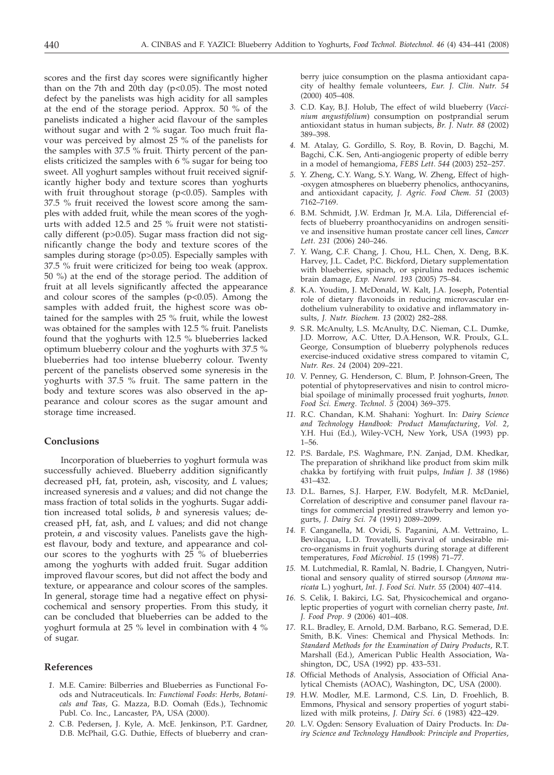scores and the first day scores were significantly higher than on the 7th and 20th day ( $p<0.05$ ). The most noted defect by the panelists was high acidity for all samples at the end of the storage period. Approx. 50 % of the panelists indicated a higher acid flavour of the samples without sugar and with 2 % sugar. Too much fruit flavour was perceived by almost 25 % of the panelists for the samples with 37.5 % fruit. Thirty percent of the panelists criticized the samples with 6 % sugar for being too sweet. All yoghurt samples without fruit received significantly higher body and texture scores than yoghurts with fruit throughout storage (p<0.05). Samples with 37.5 % fruit received the lowest score among the samples with added fruit, while the mean scores of the yoghurts with added 12.5 and 25 % fruit were not statistically different (p>0.05). Sugar mass fraction did not significantly change the body and texture scores of the samples during storage (p>0.05). Especially samples with 37.5 % fruit were criticized for being too weak (approx. 50 %) at the end of the storage period. The addition of fruit at all levels significantly affected the appearance and colour scores of the samples  $(p<0.05)$ . Among the samples with added fruit, the highest score was obtained for the samples with 25 % fruit, while the lowest was obtained for the samples with 12.5 % fruit. Panelists found that the yoghurts with 12.5 % blueberries lacked optimum blueberry colour and the yoghurts with 37.5 % blueberries had too intense blueberry colour. Twenty percent of the panelists observed some syneresis in the yoghurts with 37.5 % fruit. The same pattern in the body and texture scores was also observed in the appearance and colour scores as the sugar amount and storage time increased.

### **Conclusions**

Incorporation of blueberries to yoghurt formula was successfully achieved. Blueberry addition significantly decreased pH, fat, protein, ash, viscosity, and *L* values; increased syneresis and *a* values; and did not change the mass fraction of total solids in the yoghurts. Sugar addition increased total solids, *b* and syneresis values; decreased pH, fat, ash, and *L* values; and did not change protein, *a* and viscosity values. Panelists gave the highest flavour, body and texture, and appearance and colour scores to the yoghurts with 25 % of blueberries among the yoghurts with added fruit. Sugar addition improved flavour scores, but did not affect the body and texture, or appearance and colour scores of the samples. In general, storage time had a negative effect on physicochemical and sensory properties. From this study, it can be concluded that blueberries can be added to the yoghurt formula at 25 % level in combination with 4 % of sugar.

# **References**

- *1.* M.E. Camire: Bilberries and Blueberries as Functional Foods and Nutraceuticals. In: *Functional Foods*: *Herbs, Botanicals and Teas*, G. Mazza, B.D. Oomah (Eds.), Technomic Publ. Co. Inc., Lancaster, PA, USA (2000).
- *2.* C.B. Pedersen, J. Kyle, A. McE. Jenkinson, P.T. Gardner, D.B. McPhail, G.G. Duthie, Effects of blueberry and cran-

berry juice consumption on the plasma antioxidant capacity of healthy female volunteers, *Eur. J. Clin. Nutr*. *54* (2000) 405–408.

- *3.* C.D. Kay, B.J. Holub, The effect of wild blueberry (*Vaccinium angustifolium*) consumption on postprandial serum antioxidant status in human subjects, *Br. J. Nutr. 88* (2002) 389–398.
- *4.* M. Atalay, G. Gordillo, S. Roy, B. Rovin, D. Bagchi, M. Bagchi, C.K. Sen, Anti-angiogenic property of edible berry in a model of hemangioma, *FEBS Lett*. *544* (2003) 252–257.
- *5.* Y. Zheng, C.Y. Wang, S.Y. Wang, W. Zheng, Effect of high- -oxygen atmospheres on blueberry phenolics, anthocyanins, and antioxidant capacity, *J. Agric. Food Chem*. *51* (2003) 7162–7169.
- *6.* B.M. Schmidt, J.W. Erdman Jr, M.A. Lila, Differencial effects of blueberry proanthocyanidins on androgen sensitive and insensitive human prostate cancer cell lines, *Cancer Lett*. *231* (2006) 240–246.
- *7.* Y. Wang, C.F. Chang, J. Chou, H.L. Chen, X. Deng, B.K. Harvey, J.L. Cadet, P.C. Bickford, Dietary supplementation with blueberries, spinach, or spirulina reduces ischemic brain damage, *Exp. Neurol. 193* (2005) 75–84.
- *8.* K.A. Youdim, J. McDonald, W. Kalt, J.A. Joseph, Potential role of dietary flavonoids in reducing microvascular endothelium vulnerability to oxidative and inflammatory insults, *J. Nutr. Biochem. 13* (2002) 282–288.
- *9.* S.R. McAnulty, L.S. McAnulty, D.C. Nieman, C.L. Dumke, J.D. Morrow, A.C. Utter, D.A.Henson, W.R. Proulx, G.L. George, Consumption of blueberry polyphenols reduces exercise-induced oxidative stress compared to vitamin C, *Nutr. Res*. *24* (2004) 209–221.
- *10.* V. Penney, G. Henderson, C. Blum, P. Johnson-Green, The potential of phytopreservatives and nisin to control microbial spoilage of minimally processed fruit yoghurts, *Innov. Food Sci. Emerg. Technol*. *5* (2004) 369–375.
- *11.* R.C. Chandan, K.M. Shahani: Yoghurt. In: *Dairy Science and Technology Handbook: Product Manufacturing*, *Vol. 2*, Y.H. Hui (Ed.), Wiley-VCH, New York, USA (1993) pp. 1–56.
- *12.* P.S. Bardale, P.S. Waghmare, P.N. Zanjad, D.M. Khedkar, The preparation of shrikhand like product from skim milk chakka by fortifying with fruit pulps, *Indian J*. *38* (1986) 431–432.
- *13.* D.L. Barnes, S.J. Harper, F.W. Bodyfelt, M.R. McDaniel, Correlation of descriptive and consumer panel flavour ratings for commercial prestirred strawberry and lemon yogurts, *J. Dairy Sci. 74* (1991) 2089–2099.
- *14.* F. Canganella, M. Ovidi, S. Paganini, A.M. Vettraino, L. Bevilacqua, L.D. Trovatelli, Survival of undesirable micro-organisms in fruit yoghurts during storage at different temperatures, *Food Microbiol*. *15* (1998) 71–77.
- *15.* M. Lutchmedial, R. Ramlal, N. Badrie, I. Changyen, Nutritional and sensory quality of stirred soursop (*Annona muricata* L.) yoghurt, *Int. J. Food Sci. Nutr*. *55* (2004) 407–414.
- *16.* S. Celik, I. Bakirci, I.G. Sat, Physicochemical and organoleptic properties of yogurt with cornelian cherry paste*, Int. J. Food Prop*. *9* (2006) 401–408.
- *17.* R.L. Bradley, E. Arnold, D.M. Barbano, R.G. Semerad, D.E. Smith, B.K. Vines: Chemical and Physical Methods. In: *Standard Methods for the Examination of Dairy Products*, R.T. Marshall (Ed.), American Public Health Association, Washington, DC, USA (1992) pp. 433–531.
- *18.* Official Methods of Analysis, Association of Official Analytical Chemists (AOAC), Washington, DC, USA (2000).
- *19.* H.W. Modler, M.E. Larmond, C.S. Lin, D. Froehlich, B. Emmons, Physical and sensory properties of yogurt stabilized with milk proteins, *J. Dairy Sci*. *6* (1983) 422–429.
- *20.* L.V. Ogden: Sensory Evaluation of Dairy Products. In: *Dairy Science and Technology Handbook: Principle and Properties*,